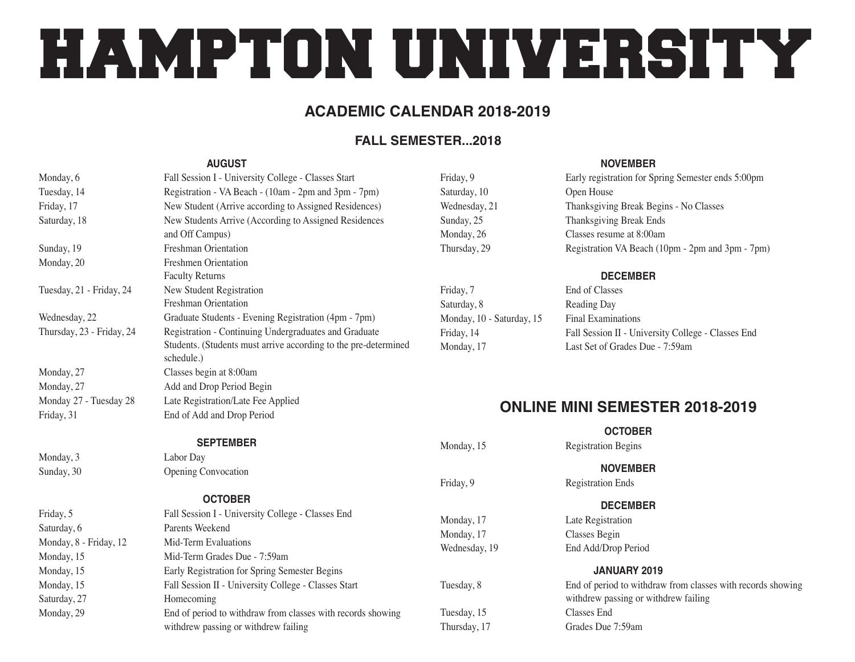# HAMPTON UNIVERSITY

## **ACADEMIC CALENDAR 2018-2019**

#### **FALL SEMESTER...2018**

#### **AUGUST**

| Monday, 6                 | Fall Session I - University College - Classes Start                           |
|---------------------------|-------------------------------------------------------------------------------|
| Tuesday, 14               | Registration - VA Beach - (10am - 2pm and 3pm - 7pm)                          |
| Friday, 17                | New Student (Arrive according to Assigned Residences)                         |
| Saturday, 18              | New Students Arrive (According to Assigned Residences<br>and Off Campus)      |
| Sunday, 19                | Freshman Orientation                                                          |
| Monday, 20                | <b>Freshmen Orientation</b>                                                   |
|                           | <b>Faculty Returns</b>                                                        |
| Tuesday, 21 - Friday, 24  | New Student Registration                                                      |
|                           | Freshman Orientation                                                          |
| Wednesday, 22             | Graduate Students - Evening Registration (4pm - 7pm)                          |
| Thursday, 23 - Friday, 24 | Registration - Continuing Undergraduates and Graduate                         |
|                           | Students. (Students must arrive according to the pre-determined<br>schedule.) |
| Monday, 27                | Classes begin at 8:00am                                                       |
| Monday, 27                | Add and Drop Period Begin                                                     |
| Monday 27 - Tuesday 28    | Late Registration/Late Fee Applied                                            |
| Friday, 31                | End of Add and Drop Period                                                    |

Saturday, 10 Open House

Friday, 7 End of Classes Saturday, 8 Reading Day Monday, 10 - Saturday, 15 Final Examinations

#### **NOVEMBER**

Friday, 9 Early registration for Spring Semester ends 5:00pm Wednesday, 21 Thanksgiving Break Begins - No Classes Sunday, 25 Thanksgiving Break Ends Monday, 26 Classes resume at 8:00am Thursday, 29 Registration VA Beach (10pm - 2pm and 3pm - 7pm)

#### **DECEMBER**

Friday, 14 Fall Session II - University College - Classes End Monday, 17 Last Set of Grades Due - 7:59am

## **ONLINE MINI SEMESTER 2018-2019**

**OCTOBER**

Monday, 15 Registration Begins

**NOVEMBER**

Friday, 9 Registration Ends

#### **DECEMBER**

Monday, 17 Late Registration Monday, 17 Classes Begin Wednesday, 19 End Add/Drop Period

#### **JANUARY 2019**

Tuesday, 8 End of period to withdraw from classes with records showing withdrew passing or withdrew failing Tuesday, 15 Classes End Thursday, 17 Grades Due 7:59am

|                        | $\frac{1}{2}$ and $\frac{1}{2}$ and $\frac{1}{2}$ and $\frac{1}{2}$ and $\frac{1}{2}$ and $\frac{1}{2}$ and $\frac{1}{2}$ and $\frac{1}{2}$ and $\frac{1}{2}$ and $\frac{1}{2}$ and $\frac{1}{2}$ and $\frac{1}{2}$ and $\frac{1}{2}$ and $\frac{1}{2}$ and $\frac{1}{2}$ and $\frac{1}{2}$ a |
|------------------------|-----------------------------------------------------------------------------------------------------------------------------------------------------------------------------------------------------------------------------------------------------------------------------------------------|
|                        | <b>SEPTEMBER</b>                                                                                                                                                                                                                                                                              |
| Monday, 3              | Labor Day                                                                                                                                                                                                                                                                                     |
| Sunday, 30             | <b>Opening Convocation</b>                                                                                                                                                                                                                                                                    |
|                        | <b>OCTOBER</b>                                                                                                                                                                                                                                                                                |
| Friday, 5              | Fall Session I - University College - Classes End                                                                                                                                                                                                                                             |
| Saturday, 6            | Parents Weekend                                                                                                                                                                                                                                                                               |
| Monday, 8 - Friday, 12 | Mid-Term Evaluations                                                                                                                                                                                                                                                                          |
| Monday, 15             | Mid-Term Grades Due - 7:59am                                                                                                                                                                                                                                                                  |
| Monday, 15             | Early Registration for Spring Semester Begins                                                                                                                                                                                                                                                 |
| Monday, 15             | Fall Session II - University College - Classes Start                                                                                                                                                                                                                                          |
| Saturday, 27           | Homecoming                                                                                                                                                                                                                                                                                    |
| Monday, 29             | End of period to withdraw from classes with records showing<br>withdrew passing or withdrew failing                                                                                                                                                                                           |
|                        |                                                                                                                                                                                                                                                                                               |